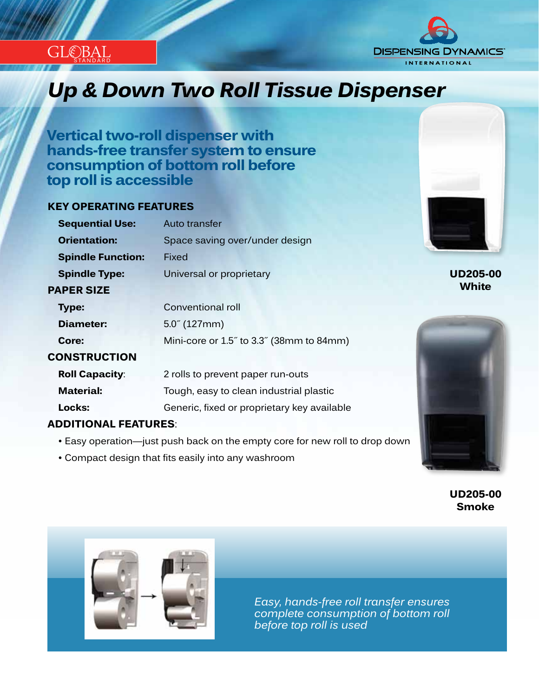



# *Innovation...Design...Solutions Up & Down Two Roll Tissue Dispenser*

**Vertical two-roll dispenser with hands-free transfer system to ensure consumption of bottom roll before top roll is accessible**

### **KEY OPERATING FEATURES**

| <b>Sequential Use:</b>   | Auto transfer                               |  |
|--------------------------|---------------------------------------------|--|
| <b>Orientation:</b>      | Space saving over/under design              |  |
| <b>Spindle Function:</b> | Fixed                                       |  |
| <b>Spindle Type:</b>     | Universal or proprietary                    |  |
| <b>PAPER SIZE</b>        |                                             |  |
| <b>Type:</b>             | Conventional roll                           |  |
| Diameter:                | $5.0^{''}$ (127mm)                          |  |
| Core:                    | Mini-core or 1.5" to 3.3" (38mm to 84mm)    |  |
| <b>CONSTRUCTION</b>      |                                             |  |
| <b>Roll Capacity:</b>    | 2 rolls to prevent paper run-outs           |  |
| <b>Material:</b>         | Tough, easy to clean industrial plastic     |  |
| Locks:                   | Generic, fixed or proprietary key available |  |
|                          |                                             |  |

#### **ADDITIONAL FEATURES**:

- Easy operation—just push back on the empty core for new roll to drop down
- Compact design that fits easily into any washroom



## **UD205-00 White**



**UD205-00 Smoke**



*Easy, hands-free roll transfer ensures complete consumption of bottom roll before top roll is used*